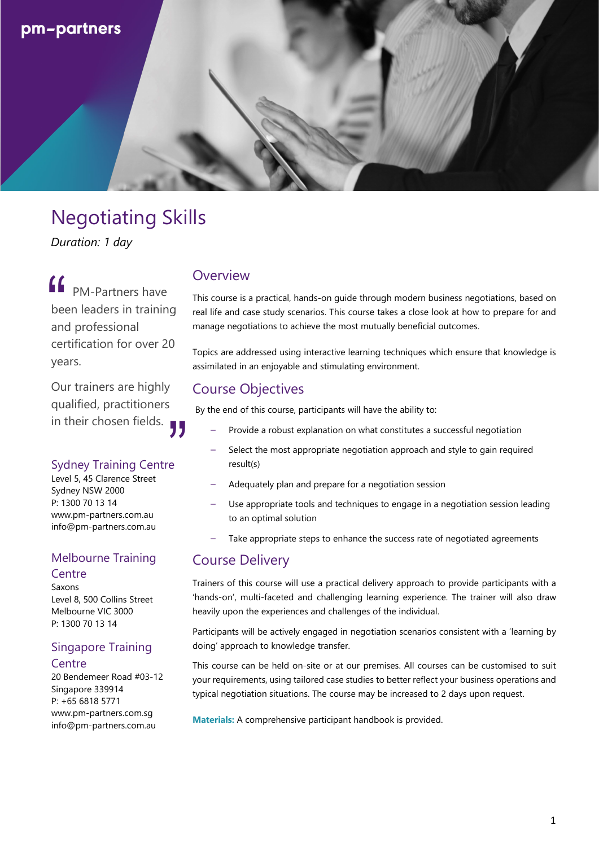

# Negotiating Skills

*Duration: 1 day*

PM-Partners have been leaders in training and professional certification for over 20 years. "

Our trainers are highly qualified, practitioners in their chosen fields. -<br>"<br>"

#### Sydney Training Centre

Level 5, 45 Clarence Street Sydney NSW 2000 P: 1300 70 13 14 www.pm-partners.com.au info@pm-partners.com.au

#### Melbourne Training **Centre**

Saxons Level 8, 500 Collins Street Melbourne VIC 3000 P: 1300 70 13 14

#### Singapore Training **Centre**

20 Bendemeer Road #03-12 Singapore 339914 P: +65 6818 5771 www.pm-partners.com.sg info@pm-partners.com.au

## **Overview**

This course is a practical, hands-on guide through modern business negotiations, based on real life and case study scenarios. This course takes a close look at how to prepare for and manage negotiations to achieve the most mutually beneficial outcomes.

Topics are addressed using interactive learning techniques which ensure that knowledge is assimilated in an enjoyable and stimulating environment.

## Course Objectives

By the end of this course, participants will have the ability to:

- Provide a robust explanation on what constitutes a successful negotiation
- Select the most appropriate negotiation approach and style to gain required result(s)
- Adequately plan and prepare for a negotiation session
- Use appropriate tools and techniques to engage in a negotiation session leading to an optimal solution
- Take appropriate steps to enhance the success rate of negotiated agreements

#### Course Delivery

Trainers of this course will use a practical delivery approach to provide participants with a 'hands-on', multi-faceted and challenging learning experience. The trainer will also draw heavily upon the experiences and challenges of the individual.

Participants will be actively engaged in negotiation scenarios consistent with a 'learning by doing' approach to knowledge transfer.

This course can be held on-site or at our premises. All courses can be customised to suit your requirements, using tailored case studies to better reflect your business operations and typical negotiation situations. The course may be increased to 2 days upon request.

**Materials:** A comprehensive participant handbook is provided.